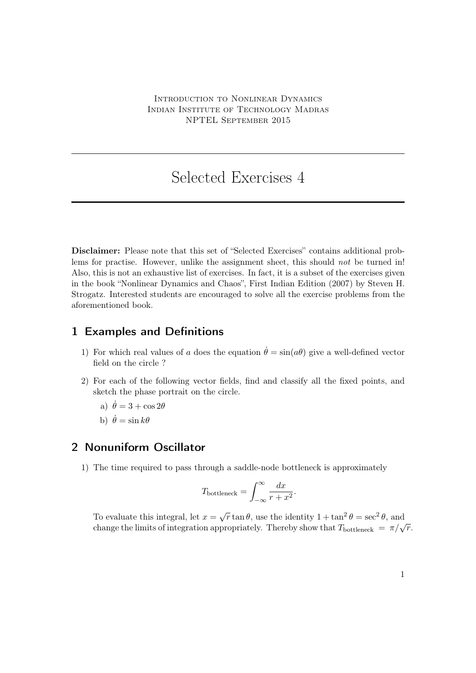## Selected Exercises 4

Disclaimer: Please note that this set of "Selected Exercises" contains additional problems for practise. However, unlike the assignment sheet, this should *not* be turned in! Also, this is not an exhaustive list of exercises. In fact, it is a subset of the exercises given in the book "Nonlinear Dynamics and Chaos", First Indian Edition (2007) by Steven H. Strogatz. Interested students are encouraged to solve all the exercise problems from the aforementioned book.

## 1 Examples and Definitions

- 1) For which real values of a does the equation  $\dot{\theta} = \sin(a\theta)$  give a well-defined vector field on the circle ?
- 2) For each of the following vector fields, find and classify all the fixed points, and sketch the phase portrait on the circle.
	- a)  $\dot{\theta} = 3 + \cos 2\theta$
	- b)  $\dot{\theta} = \sin k\theta$

## 2 Nonuniform Oscillator

1) The time required to pass through a saddle-node bottleneck is approximately

$$
T_{\text{bottleneck}} = \int_{-\infty}^{\infty} \frac{dx}{r + x^2}.
$$

To evaluate this integral, let  $x = \sqrt{r} \tan \theta$ , use the identity  $1 + \tan^2 \theta = \sec^2 \theta$ , and change the limits of integration appropriately. Thereby show that  $T_{\text{bottleneck}} = \pi/\sqrt{r}$ .